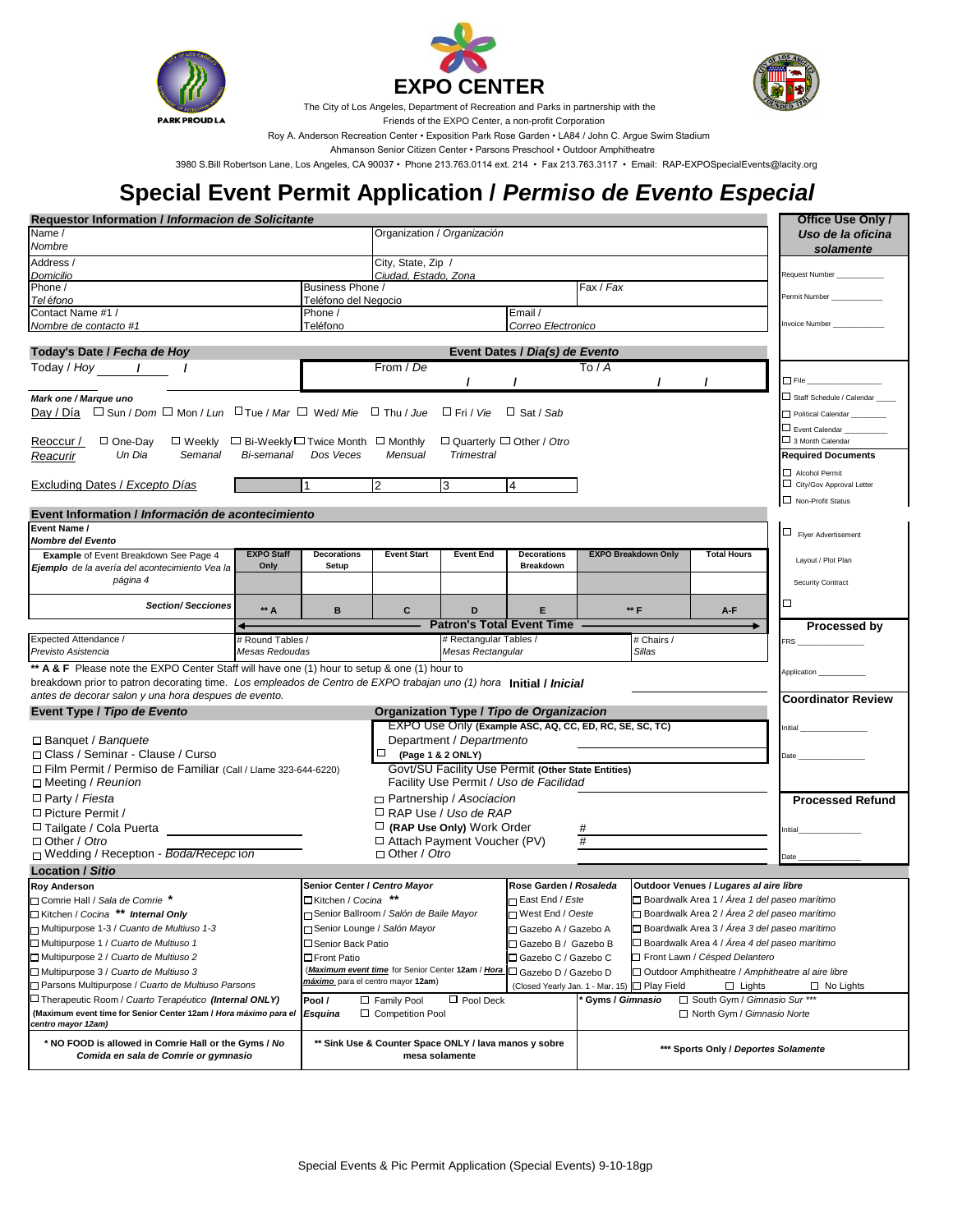





The City of Los Angeles, Department of Recreation and Parks in partnership with the

 Friends of the EXPO Center, a non-profit Corporation Roy A. Anderson Recreation Center • Exposition Park Rose Garden • LA84 / John C. Argue Swim Stadium

Ahmanson Senior Citizen Center • Parsons Preschool • Outdoor Amphitheatre

3980 S.Bill Robertson Lane, Los Angeles, CA 90037 • Phone 213.763.0114 ext. 214 • Fax 213.763.3117 • Email: RAP-EXPOSpecialEvents@lacity.org

## **Special Event Permit Application /** *Permiso de Evento Especial*

| Requestor Information / Informacion de Solicitante                                                             |                   |                                                                                                                    |                                                                         |                                                                         |                                                                         |                                                                |                                                |                                                | Office Use Only /                          |
|----------------------------------------------------------------------------------------------------------------|-------------------|--------------------------------------------------------------------------------------------------------------------|-------------------------------------------------------------------------|-------------------------------------------------------------------------|-------------------------------------------------------------------------|----------------------------------------------------------------|------------------------------------------------|------------------------------------------------|--------------------------------------------|
| Name /                                                                                                         |                   |                                                                                                                    | Organization / Organización                                             |                                                                         |                                                                         |                                                                |                                                |                                                | Uso de la oficina                          |
| Nombre                                                                                                         |                   |                                                                                                                    |                                                                         |                                                                         |                                                                         |                                                                |                                                |                                                | solamente                                  |
| Address /                                                                                                      |                   | City, State, Zip /                                                                                                 |                                                                         |                                                                         |                                                                         |                                                                |                                                |                                                |                                            |
| Domicilio                                                                                                      |                   |                                                                                                                    | Ciudad, Estado, Zona                                                    |                                                                         |                                                                         |                                                                |                                                |                                                | <b>Request Number</b>                      |
| Phone /                                                                                                        |                   | Business Phone /                                                                                                   |                                                                         |                                                                         |                                                                         | Fax / Fax                                                      |                                                |                                                | Permit Number                              |
| Teléfono<br>Contact Name #1 /                                                                                  |                   | Teléfono del Negocio<br>Phone /                                                                                    |                                                                         |                                                                         | Email /                                                                 |                                                                |                                                |                                                |                                            |
| Nombre de contacto #1                                                                                          |                   | Teléfono                                                                                                           |                                                                         |                                                                         | Correo Electronico                                                      |                                                                |                                                |                                                | <b>Invoice Number</b>                      |
|                                                                                                                |                   |                                                                                                                    |                                                                         |                                                                         |                                                                         |                                                                |                                                |                                                |                                            |
| Today's Date / Fecha de Hoy                                                                                    |                   |                                                                                                                    |                                                                         |                                                                         | Event Dates / Dia(s) de Evento                                          |                                                                |                                                |                                                |                                            |
| Today / Hoy /                                                                                                  |                   |                                                                                                                    | From / De                                                               |                                                                         |                                                                         | To / A                                                         |                                                |                                                |                                            |
|                                                                                                                |                   |                                                                                                                    |                                                                         |                                                                         |                                                                         |                                                                | $\prime$                                       | $\prime$                                       | $\square$ File $\_$                        |
| Mark one / Marque uno                                                                                          |                   |                                                                                                                    |                                                                         |                                                                         |                                                                         |                                                                |                                                |                                                | $\Box$ Staff Schedule / Calendar           |
| Day / Día $\Box$ Sun / Dom $\Box$ Mon / Lun $\Box$ Tue / Mar $\Box$ Wed/ Mie $\Box$ Thu / Jue $\Box$ Fri / Vie |                   |                                                                                                                    |                                                                         |                                                                         | $\Box$ Sat / Sab                                                        |                                                                |                                                |                                                | Political Calendar                         |
|                                                                                                                |                   |                                                                                                                    |                                                                         |                                                                         |                                                                         |                                                                |                                                |                                                | $\Box$ Event Calendar                      |
| $\Box$ One-Day<br>$\Box$ Weekly $\Box$ Bi-Weekly $\Box$ Twice Month $\Box$ Monthly<br>Reoccur /                |                   |                                                                                                                    |                                                                         | $\Box$ Quarterly $\Box$ Other / Otro                                    |                                                                         |                                                                |                                                |                                                | $\Box$ 3 Month Calendar                    |
| Un Dia<br>Semanal<br>Reacurir                                                                                  | Bi-semanal        | Dos Veces                                                                                                          | Mensual                                                                 | <b>Trimestral</b>                                                       |                                                                         |                                                                |                                                |                                                | <b>Required Documents</b>                  |
|                                                                                                                |                   |                                                                                                                    |                                                                         |                                                                         |                                                                         |                                                                |                                                |                                                |                                            |
| Excluding Dates / Excepto Días                                                                                 |                   | $\mathbf 1$                                                                                                        | $\overline{2}$                                                          | 3                                                                       | 4                                                                       |                                                                |                                                |                                                | Alcohol Permit<br>City/Gov Approval Letter |
|                                                                                                                |                   |                                                                                                                    |                                                                         |                                                                         |                                                                         |                                                                |                                                |                                                | Non-Profit Status                          |
| Event Information / Información de acontecimiento                                                              |                   |                                                                                                                    |                                                                         |                                                                         |                                                                         |                                                                |                                                |                                                |                                            |
| Event Name /                                                                                                   |                   |                                                                                                                    |                                                                         |                                                                         |                                                                         |                                                                |                                                |                                                |                                            |
| <b>Nombre del Evento</b>                                                                                       |                   |                                                                                                                    |                                                                         |                                                                         |                                                                         |                                                                |                                                |                                                | $\Box$ Flyer Advertisement                 |
| Example of Event Breakdown See Page 4                                                                          | <b>EXPO Staff</b> | <b>Decorations</b>                                                                                                 | <b>Event Start</b>                                                      | <b>Event End</b>                                                        | <b>Decorations</b>                                                      |                                                                | <b>EXPO Breakdown Only</b>                     | <b>Total Hours</b>                             |                                            |
| Ejemplo de la avería del acontecimiento Vea la                                                                 | Only              | Setup                                                                                                              |                                                                         |                                                                         | <b>Breakdown</b>                                                        |                                                                |                                                |                                                | Layout / Plot Plan                         |
| página 4                                                                                                       |                   |                                                                                                                    |                                                                         |                                                                         |                                                                         |                                                                |                                                |                                                | Security Contract                          |
|                                                                                                                |                   |                                                                                                                    |                                                                         |                                                                         |                                                                         |                                                                |                                                |                                                |                                            |
| <b>Section/ Secciones</b>                                                                                      | ** A              | B                                                                                                                  | C                                                                       | D                                                                       | E                                                                       |                                                                | ** F                                           | A-F                                            | □                                          |
|                                                                                                                |                   |                                                                                                                    |                                                                         |                                                                         | <b>Patron's Total Event Time</b>                                        |                                                                |                                                |                                                | Processed by                               |
| Expected Attendance /                                                                                          | # Round Tables /  |                                                                                                                    |                                                                         | # Rectangular Tables /                                                  |                                                                         |                                                                | # Chairs /                                     |                                                | FRS.                                       |
| Previsto Asistencia                                                                                            | Mesas Redoudas    |                                                                                                                    |                                                                         | Mesas Rectangular                                                       |                                                                         |                                                                | <b>Sillas</b>                                  |                                                |                                            |
| ** A & F Please note the EXPO Center Staff will have one (1) hour to setup & one (1) hour to                   |                   |                                                                                                                    |                                                                         |                                                                         |                                                                         |                                                                |                                                |                                                | Application _                              |
|                                                                                                                |                   | breakdown prior to patron decorating time. Los empleados de Centro de EXPO trabajan uno (1) hora Initial / Inicial |                                                                         |                                                                         |                                                                         |                                                                |                                                |                                                |                                            |
| antes de decorar salon y una hora despues de evento.                                                           |                   |                                                                                                                    |                                                                         |                                                                         |                                                                         |                                                                |                                                |                                                | <b>Coordinator Review</b>                  |
| Event Type / Tipo de Evento                                                                                    |                   |                                                                                                                    |                                                                         |                                                                         | Organization Type / Tipo de Organizacion                                |                                                                |                                                |                                                |                                            |
|                                                                                                                |                   |                                                                                                                    |                                                                         |                                                                         | EXPO Use Only (Example ASC, AQ, CC, ED, RC, SE, SC, TC)                 |                                                                |                                                |                                                | Initial                                    |
| □ Banquet / Banquete                                                                                           |                   | Department / Departmento                                                                                           |                                                                         |                                                                         |                                                                         |                                                                |                                                |                                                |                                            |
| □ Class / Seminar - Clause / Curso                                                                             |                   |                                                                                                                    | $\Box$ (Page 1 & 2 ONLY)                                                |                                                                         |                                                                         |                                                                |                                                |                                                | Date                                       |
| □ Film Permit / Permiso de Familiar (Call / Llame 323-644-6220)                                                |                   |                                                                                                                    |                                                                         |                                                                         | Govt/SU Facility Use Permit (Other State Entities)                      |                                                                |                                                |                                                |                                            |
| □ Meeting / Reunion                                                                                            |                   |                                                                                                                    |                                                                         |                                                                         | Facility Use Permit / Uso de Facilidad                                  |                                                                |                                                |                                                |                                            |
| $\Box$ Party / Fiesta                                                                                          |                   |                                                                                                                    |                                                                         | □ Partnership / Asociacion                                              |                                                                         |                                                                |                                                |                                                | <b>Processed Refund</b>                    |
| □ Picture Permit /                                                                                             |                   |                                                                                                                    |                                                                         | $\Box$ RAP Use / Uso de RAP                                             |                                                                         |                                                                |                                                |                                                |                                            |
| □ Tailgate / Cola Puerta                                                                                       |                   |                                                                                                                    | $\Box$ (RAP Use Only) Work Order                                        |                                                                         |                                                                         | #                                                              |                                                |                                                | nitial                                     |
| □ Other / Otro                                                                                                 |                   |                                                                                                                    | □ Attach Payment Voucher (PV)                                           |                                                                         |                                                                         | #                                                              |                                                |                                                |                                            |
| □ Wedding / Reception - Boda/Recepcion                                                                         |                   |                                                                                                                    | □ Other / Otro                                                          |                                                                         |                                                                         |                                                                |                                                |                                                | Date                                       |
| <b>Location / Sitio</b>                                                                                        |                   |                                                                                                                    |                                                                         |                                                                         |                                                                         |                                                                |                                                |                                                |                                            |
| <b>Roy Anderson</b>                                                                                            |                   | Senior Center / Centro Mayor                                                                                       |                                                                         |                                                                         | Rose Garden / Rosaleda                                                  |                                                                |                                                | Outdoor Venues / Lugares al aire libre         |                                            |
| Comrie Hall / Sala de Comrie *                                                                                 |                   | □Kitchen / Cocina **                                                                                               |                                                                         |                                                                         | □ East End / Este                                                       |                                                                |                                                | □ Boardwalk Area 1 / Área 1 del paseo marítimo |                                            |
| □ Kitchen / Cocina ** Internal Only                                                                            |                   | Senior Ballroom / Salón de Baile Mayor                                                                             |                                                                         |                                                                         | □ West End / Oeste                                                      |                                                                | □ Boardwalk Area 2 / Área 2 del paseo marítimo |                                                |                                            |
| □ Multipurpose 1-3 / Cuanto de Multiuso 1-3                                                                    |                   |                                                                                                                    | □ Senior Lounge / Salón Mayor                                           |                                                                         | □ Gazebo A / Gazebo A                                                   |                                                                | □ Boardwalk Area 3 / Área 3 del paseo marítimo |                                                |                                            |
| □ Multipurpose 1 / Cuarto de Multiuso 1                                                                        |                   | □ Senior Back Patio                                                                                                |                                                                         |                                                                         | □ Boardwalk Area 4 / Área 4 del paseo marítimo<br>□ Gazebo B / Gazebo B |                                                                |                                                |                                                |                                            |
| □ Multipurpose 2 / Cuarto de Multiuso 2                                                                        |                   | □ Front Patio                                                                                                      |                                                                         |                                                                         |                                                                         | □ Front Lawn / Césped Delantero<br>□ Gazebo C / Gazebo C       |                                                |                                                |                                            |
| □ Multipurpose 3 / Cuarto de Multiuso 3                                                                        |                   |                                                                                                                    | (Maximum event time for Senior Center 12am / Hora   Gazebo D / Gazebo D |                                                                         |                                                                         | □ Outdoor Amphitheatre / Amphitheatre al aire libre            |                                                |                                                |                                            |
| Parsons Multipurpose / Cuarto de Multiuso Parsons                                                              |                   |                                                                                                                    | máximo para el centro mayor 12am)                                       |                                                                         |                                                                         | (Closed Yearly Jan. 1 - Mar. 15) □ Play Field<br>$\Box$ Lights |                                                |                                                | $\Box$ No Lights                           |
| □ Therapeutic Room / Cuarto Terapéutico (Internal ONLY)                                                        |                   | Pool /                                                                                                             | □ Family Pool                                                           | $\Box$ Pool Deck                                                        |                                                                         | Gyms / Gimnasio                                                |                                                | □ South Gym / Gimnasio Sur ***                 |                                            |
| (Maximum event time for Senior Center 12am / Hora máximo para el                                               |                   | Esquina                                                                                                            | □ Competition Pool                                                      |                                                                         |                                                                         |                                                                |                                                | □ North Gym / Gimnasio Norte                   |                                            |
| centro mayor 12am)                                                                                             |                   |                                                                                                                    |                                                                         |                                                                         |                                                                         |                                                                |                                                |                                                |                                            |
| * NO FOOD is allowed in Comrie Hall or the Gyms / No<br>Comida en sala de Comrie or gymnasio                   |                   |                                                                                                                    |                                                                         | ** Sink Use & Counter Space ONLY / lava manos y sobre<br>mesa solamente |                                                                         |                                                                | *** Sports Only / Deportes Solamente           |                                                |                                            |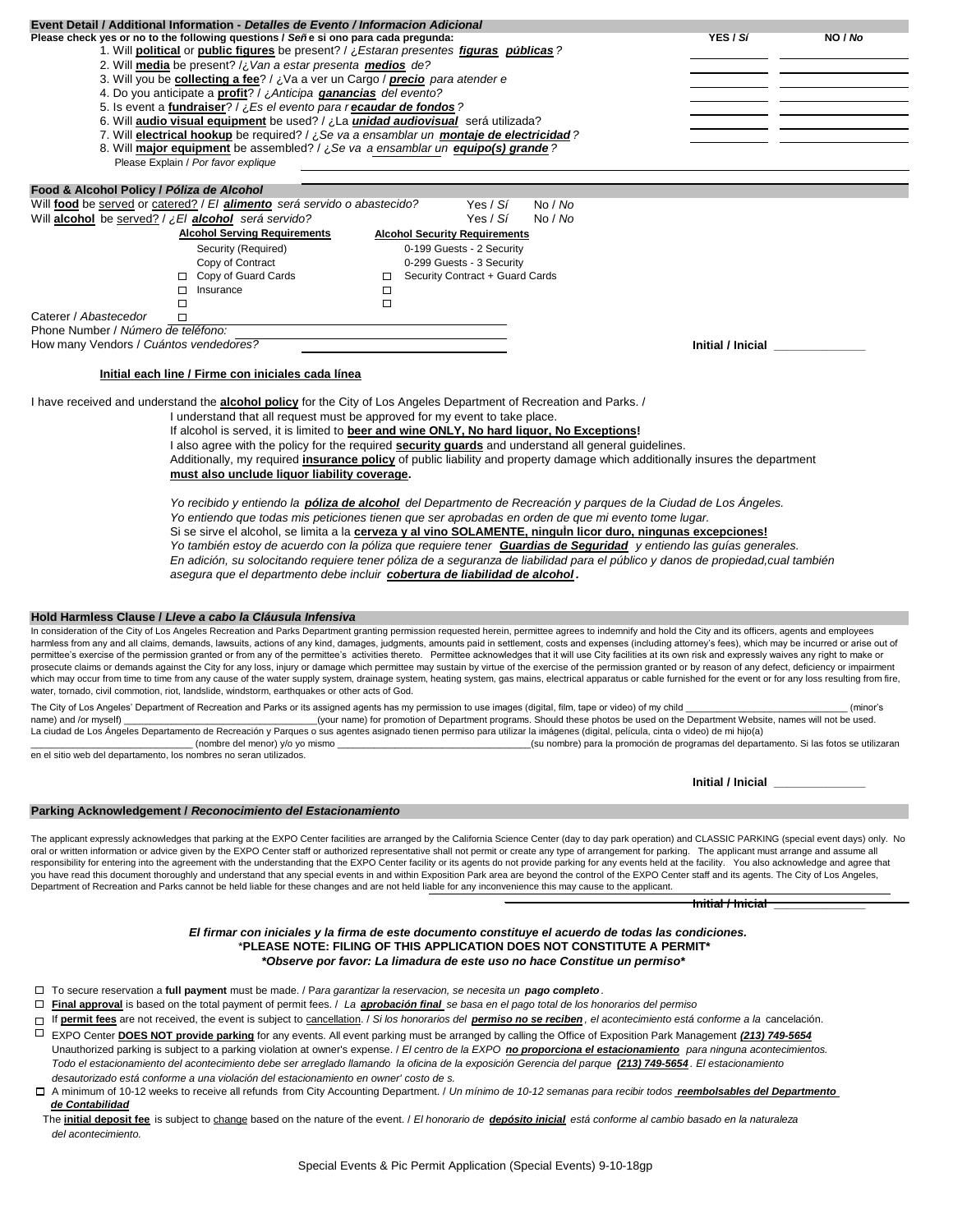| Event Detail / Additional Information - Detalles de Evento / Informacion Adicional                                                                                                                                                                                                                                                                                                                                         |                                |                                       |
|----------------------------------------------------------------------------------------------------------------------------------------------------------------------------------------------------------------------------------------------------------------------------------------------------------------------------------------------------------------------------------------------------------------------------|--------------------------------|---------------------------------------|
| Please check yes or no to the following questions / Señe si ono para cada pregunda:                                                                                                                                                                                                                                                                                                                                        | YES / Sí                       | NO / No                               |
| 1. Will political or public figures be present? / ¿Estaran presentes figuras públicas?                                                                                                                                                                                                                                                                                                                                     |                                |                                       |
| 2. Will media be present? / ¿ Van a estar presenta medios de?                                                                                                                                                                                                                                                                                                                                                              |                                |                                       |
| 3. Will you be collecting a fee? / ¿Va a ver un Cargo / precio para atender e                                                                                                                                                                                                                                                                                                                                              |                                |                                       |
| 4. Do you anticipate a <b>profit</b> ? / ¿Anticipa <i>ganancias</i> del evento?                                                                                                                                                                                                                                                                                                                                            |                                |                                       |
| 5. Is event a fundraiser? / ¿Es el evento para recaudar de fondos?<br>6. Will audio visual equipment be used? / ¿La <i>unidad audiovisual</i> será utilizada?                                                                                                                                                                                                                                                              |                                |                                       |
| 7. Will <b>electrical hookup</b> be required? / ¿Se va a ensamblar un <i>montaje de electricidad</i> ?                                                                                                                                                                                                                                                                                                                     |                                |                                       |
| 8. Will major equipment be assembled? / ¿Se va a ensamblar un equipo(s) grande?                                                                                                                                                                                                                                                                                                                                            |                                |                                       |
| Please Explain / Por favor explique                                                                                                                                                                                                                                                                                                                                                                                        |                                |                                       |
|                                                                                                                                                                                                                                                                                                                                                                                                                            |                                |                                       |
| Food & Alcohol Policy / Póliza de Alcohol                                                                                                                                                                                                                                                                                                                                                                                  |                                |                                       |
| Will food be served or catered? / El <i>alimento</i> será servido o abastecido?<br>No / No<br>Yes / <i>Sí</i>                                                                                                                                                                                                                                                                                                              |                                |                                       |
| Will alcohol be served? / ¿El alcohol será servido?<br>Yes / Sí<br>No / No                                                                                                                                                                                                                                                                                                                                                 |                                |                                       |
| <b>Alcohol Serving Requirements</b><br><b>Alcohol Security Requirements</b>                                                                                                                                                                                                                                                                                                                                                |                                |                                       |
| Security (Required)<br>0-199 Guests - 2 Security<br>Copy of Contract<br>0-299 Guests - 3 Security                                                                                                                                                                                                                                                                                                                          |                                |                                       |
| □ Copy of Guard Cards<br>Security Contract + Guard Cards<br>$\Box$                                                                                                                                                                                                                                                                                                                                                         |                                |                                       |
| $\Box$<br>$\Box$ Insurance                                                                                                                                                                                                                                                                                                                                                                                                 |                                |                                       |
| $\Box$<br>$\Box$                                                                                                                                                                                                                                                                                                                                                                                                           |                                |                                       |
| Caterer / Abastecedor<br>□                                                                                                                                                                                                                                                                                                                                                                                                 |                                |                                       |
| Phone Number / Número de teléfono:                                                                                                                                                                                                                                                                                                                                                                                         |                                |                                       |
| How many Vendors / Cuántos vendedores?                                                                                                                                                                                                                                                                                                                                                                                     | Initial / Inicial ____________ |                                       |
|                                                                                                                                                                                                                                                                                                                                                                                                                            |                                |                                       |
| Initial each line / Firme con iniciales cada línea                                                                                                                                                                                                                                                                                                                                                                         |                                |                                       |
| I have received and understand the <b>alcohol policy</b> for the City of Los Angeles Department of Recreation and Parks. /                                                                                                                                                                                                                                                                                                 |                                |                                       |
| I understand that all request must be approved for my event to take place.                                                                                                                                                                                                                                                                                                                                                 |                                |                                       |
| If alcohol is served, it is limited to beer and wine ONLY, No hard liquor, No Exceptions!                                                                                                                                                                                                                                                                                                                                  |                                |                                       |
| I also agree with the policy for the required <b>security guards</b> and understand all general guidelines.                                                                                                                                                                                                                                                                                                                |                                |                                       |
| Additionally, my required insurance policy of public liability and property damage which additionally insures the department                                                                                                                                                                                                                                                                                               |                                |                                       |
| must also unclude liquor liability coverage.                                                                                                                                                                                                                                                                                                                                                                               |                                |                                       |
|                                                                                                                                                                                                                                                                                                                                                                                                                            |                                |                                       |
| Yo recibido y entiendo la <b>póliza de alcohol</b> del Departmento de Recreación y parques de la Ciudad de Los Ángeles.                                                                                                                                                                                                                                                                                                    |                                |                                       |
| Yo entiendo que todas mis peticiones tienen que ser aprobadas en orden de que mi evento tome lugar.                                                                                                                                                                                                                                                                                                                        |                                |                                       |
| Si se sirve el alcohol, se limita a la cerveza y al vino SOLAMENTE, ninguin licor duro, ningunas excepciones!                                                                                                                                                                                                                                                                                                              |                                |                                       |
| Yo también estoy de acuerdo con la póliza que requiere tener Guardias de Seguridad y entiendo las guías generales.                                                                                                                                                                                                                                                                                                         |                                |                                       |
| En adición, su solocitando requiere tener póliza de a seguranza de liabilidad para el público y danos de propiedad,cual también                                                                                                                                                                                                                                                                                            |                                |                                       |
| asegura que el departmento debe incluir cobertura de liabilidad de alcohol.                                                                                                                                                                                                                                                                                                                                                |                                |                                       |
|                                                                                                                                                                                                                                                                                                                                                                                                                            |                                |                                       |
| Hold Harmless Clause / Lleve a cabo la Cláusula Infensiva                                                                                                                                                                                                                                                                                                                                                                  |                                |                                       |
| In consideration of the City of Los Angeles Recreation and Parks Department granting permission requested herein, permittee agrees to indemnify and hold the City and its officers, agents and employees                                                                                                                                                                                                                   |                                |                                       |
| harmless from any and all claims, demands, lawsuits, actions of any kind, damages, judgments, amounts paid in settlement, costs and expenses (including attorney's fees), which may be incurred or arise out of                                                                                                                                                                                                            |                                |                                       |
| permittee's exercise of the permission granted or from any of the permittee's activities thereto. Permittee acknowledges that it will use City facilities at its own risk and expressly waives any right to make or                                                                                                                                                                                                        |                                |                                       |
| prosecute claims or demands against the City for any loss, injury or damage which permittee may sustain by virtue of the exercise of the permission granted or by reason of any defect, deficiency or impairment                                                                                                                                                                                                           |                                |                                       |
| which may occur from time to time from any cause of the water supply system, drainage system, heating system, gas mains, electrical apparatus or cable furnished for the event or for any loss resulting from fire,<br>water, tornado, civil commotion, riot, landslide, windstorm, earthquakes or other acts of God.                                                                                                      |                                |                                       |
| The City of Los Angeles' Department of Recreation and Parks or its assigned agents has my permission to use images (digital, film, tape or video) of my child                                                                                                                                                                                                                                                              |                                | (minor's                              |
| name) and /or myself)<br>(your name) for promotion of Department programs. Should these photos be used on the Department Website, names will not be used.                                                                                                                                                                                                                                                                  |                                |                                       |
| La ciudad de Los Angeles Departamento de Recreación y Parques o sus agentes asignado tienen permiso para utilizar la imágenes (digital, película, cinta o video) de mi hijo(a)                                                                                                                                                                                                                                             |                                |                                       |
| (su nombre) para la promoción de programas del departamento. Si las fotos se utilizaran<br>(nombre del menor) y/o yo mismo<br>en el sitio web del departamento, los nombres no seran utilizados.                                                                                                                                                                                                                           |                                |                                       |
|                                                                                                                                                                                                                                                                                                                                                                                                                            |                                |                                       |
|                                                                                                                                                                                                                                                                                                                                                                                                                            |                                | Initial / Inicial <b>Algebra 1996</b> |
|                                                                                                                                                                                                                                                                                                                                                                                                                            |                                |                                       |
| Parking Acknowledgement / Reconocimiento del Estacionamiento                                                                                                                                                                                                                                                                                                                                                               |                                |                                       |
|                                                                                                                                                                                                                                                                                                                                                                                                                            |                                |                                       |
| The applicant expressly acknowledges that parking at the EXPO Center facilities are arranged by the California Science Center (day to day park operation) and CLASSIC PARKING (special event days) only. No<br>oral or written information or advice given by the EXPO Center staff or authorized representative shall not permit or create any type of arrangement for parking. The applicant must arrange and assume all |                                |                                       |
| responsibility for entering into the agreement with the understanding that the EXPO Center facility or its agents do not provide parking for any events held at the facility. You also acknowledge and agree that                                                                                                                                                                                                          |                                |                                       |
| you have read this document thoroughly and understand that any special events in and within Exposition Park area are beyond the control of the EXPO Center staff and its agents. The City of Los Angeles,                                                                                                                                                                                                                  |                                |                                       |
| Department of Recreation and Parks cannot be held liable for these changes and are not held liable for any inconvenience this may cause to the applicant.                                                                                                                                                                                                                                                                  |                                |                                       |
|                                                                                                                                                                                                                                                                                                                                                                                                                            | <b>Initial / Inicial</b>       |                                       |
|                                                                                                                                                                                                                                                                                                                                                                                                                            |                                |                                       |
| El firmar con iniciales y la firma de este documento constituye el acuerdo de todas las condiciones.<br>*PLEASE NOTE: FILING OF THIS APPLICATION DOES NOT CONSTITUTE A PERMIT*                                                                                                                                                                                                                                             |                                |                                       |
| *Observe por favor: La limadura de este uso no hace Constitue un permiso*                                                                                                                                                                                                                                                                                                                                                  |                                |                                       |
|                                                                                                                                                                                                                                                                                                                                                                                                                            |                                |                                       |
| $\Box$ To secure reservation a full payment must be made. / Para garantizar la reservacion, se necesita un pago completo.                                                                                                                                                                                                                                                                                                  |                                |                                       |
| $\Box$ Final approval is based on the total payment of permit fees. / La aprobación final se basa en el pago total de los honorarios del permiso                                                                                                                                                                                                                                                                           |                                |                                       |
| □ If permit fees are not received, the event is subject to cancellation. / Si los honorarios del permiso no se reciben, el acontecimiento está conforme a la cancelación.                                                                                                                                                                                                                                                  |                                |                                       |
| EXPO Center DOES NOT provide parking for any events. All event parking must be arranged by calling the Office of Exposition Park Management (213) 749-5654                                                                                                                                                                                                                                                                 |                                |                                       |
| Unauthorized parking is subject to a parking violation at owner's expense. / El centro de la EXPO no proporciona el estacionamiento para ninguna acontecimientos.                                                                                                                                                                                                                                                          |                                |                                       |
| Todo el estacionamiento del acontecimiento debe ser arreglado llamando la oficina de la exposición Gerencia del parque (213) 749-5654. El estacionamiento                                                                                                                                                                                                                                                                  |                                |                                       |
| desautorizado está conforme a una violación del estacionamiento en owner' costo de s.                                                                                                                                                                                                                                                                                                                                      |                                |                                       |
| □ A minimum of 10-12 weeks to receive all refunds from City Accounting Department. / Un mínimo de 10-12 semanas para recibir todos reembolsables del Departmento                                                                                                                                                                                                                                                           |                                |                                       |
| de Contabilidad                                                                                                                                                                                                                                                                                                                                                                                                            |                                |                                       |
| The initial deposit fee is subject to change based on the nature of the event. / El honorario de depósito inicial está conforme al cambio basado en la naturaleza<br>del acontecimiento.                                                                                                                                                                                                                                   |                                |                                       |